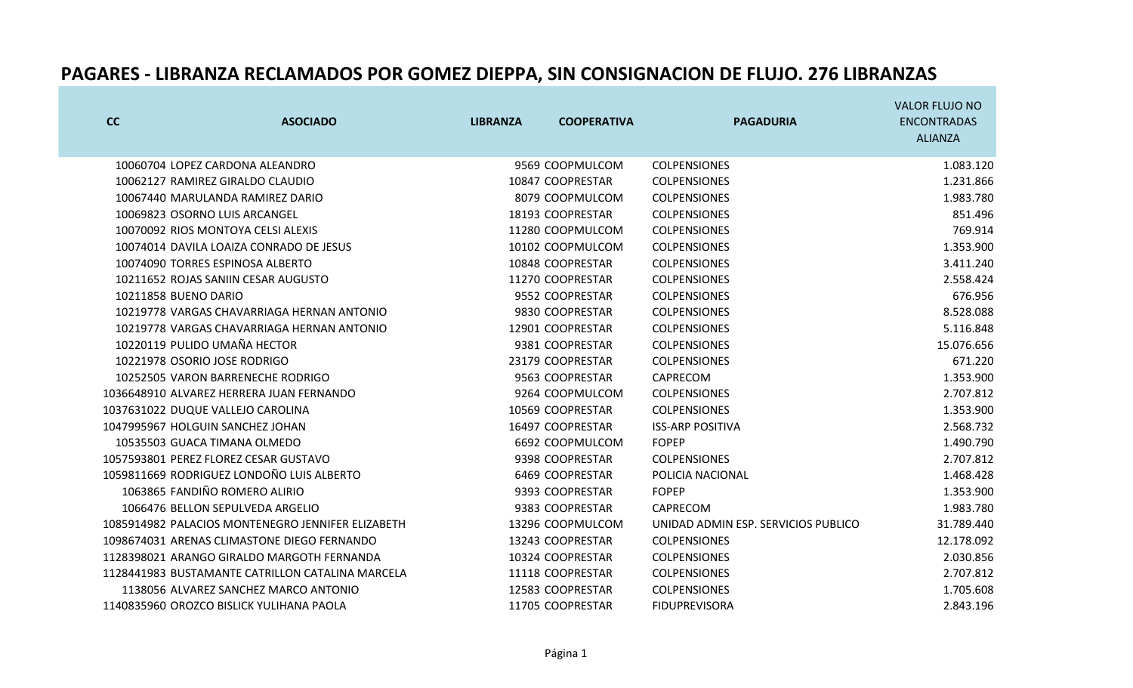| cc                   | <b>ASOCIADO</b>                                   | <b>LIBRANZA</b> | <b>COOPERATIVA</b> | <b>PAGADURIA</b>                    | <b>VALOR FLUJO NO</b><br><b>ENCONTRADAS</b> |
|----------------------|---------------------------------------------------|-----------------|--------------------|-------------------------------------|---------------------------------------------|
|                      |                                                   |                 |                    |                                     | <b>ALIANZA</b>                              |
|                      | 10060704 LOPEZ CARDONA ALEANDRO                   |                 | 9569 COOPMULCOM    | <b>COLPENSIONES</b>                 | 1.083.120                                   |
|                      | 10062127 RAMIREZ GIRALDO CLAUDIO                  |                 | 10847 COOPRESTAR   | <b>COLPENSIONES</b>                 | 1.231.866                                   |
|                      | 10067440 MARULANDA RAMIREZ DARIO                  |                 | 8079 COOPMULCOM    | <b>COLPENSIONES</b>                 | 1.983.780                                   |
|                      | 10069823 OSORNO LUIS ARCANGEL                     |                 | 18193 COOPRESTAR   | <b>COLPENSIONES</b>                 | 851.496                                     |
|                      | 10070092 RIOS MONTOYA CELSI ALEXIS                |                 | 11280 COOPMULCOM   | <b>COLPENSIONES</b>                 | 769.914                                     |
|                      | 10074014 DAVILA LOAIZA CONRADO DE JESUS           |                 | 10102 COOPMULCOM   | <b>COLPENSIONES</b>                 | 1.353.900                                   |
|                      | 10074090 TORRES ESPINOSA ALBERTO                  |                 | 10848 COOPRESTAR   | <b>COLPENSIONES</b>                 | 3.411.240                                   |
|                      | 10211652 ROJAS SANIIN CESAR AUGUSTO               |                 | 11270 COOPRESTAR   | <b>COLPENSIONES</b>                 | 2.558.424                                   |
| 10211858 BUENO DARIO |                                                   |                 | 9552 COOPRESTAR    | <b>COLPENSIONES</b>                 | 676.956                                     |
|                      | 10219778 VARGAS CHAVARRIAGA HERNAN ANTONIO        |                 | 9830 COOPRESTAR    | <b>COLPENSIONES</b>                 | 8.528.088                                   |
|                      | 10219778 VARGAS CHAVARRIAGA HERNAN ANTONIO        |                 | 12901 COOPRESTAR   | <b>COLPENSIONES</b>                 | 5.116.848                                   |
|                      | 10220119 PULIDO UMAÑA HECTOR                      |                 | 9381 COOPRESTAR    | <b>COLPENSIONES</b>                 | 15.076.656                                  |
|                      | 10221978 OSORIO JOSE RODRIGO                      |                 | 23179 COOPRESTAR   | <b>COLPENSIONES</b>                 | 671.220                                     |
|                      | 10252505 VARON BARRENECHE RODRIGO                 |                 | 9563 COOPRESTAR    | CAPRECOM                            | 1.353.900                                   |
|                      | 1036648910 ALVAREZ HERRERA JUAN FERNANDO          |                 | 9264 COOPMULCOM    | <b>COLPENSIONES</b>                 | 2.707.812                                   |
|                      | 1037631022 DUQUE VALLEJO CAROLINA                 |                 | 10569 COOPRESTAR   | <b>COLPENSIONES</b>                 | 1.353.900                                   |
|                      | 1047995967 HOLGUIN SANCHEZ JOHAN                  |                 | 16497 COOPRESTAR   | <b>ISS-ARP POSITIVA</b>             | 2.568.732                                   |
|                      | 10535503 GUACA TIMANA OLMEDO                      |                 | 6692 COOPMULCOM    | <b>FOPEP</b>                        | 1.490.790                                   |
|                      | 1057593801 PEREZ FLOREZ CESAR GUSTAVO             |                 | 9398 COOPRESTAR    | <b>COLPENSIONES</b>                 | 2.707.812                                   |
|                      | 1059811669 RODRIGUEZ LONDOÑO LUIS ALBERTO         |                 | 6469 COOPRESTAR    | POLICIA NACIONAL                    | 1.468.428                                   |
|                      | 1063865 FANDIÑO ROMERO ALIRIO                     |                 | 9393 COOPRESTAR    | <b>FOPEP</b>                        | 1.353.900                                   |
|                      | 1066476 BELLON SEPULVEDA ARGELIO                  |                 | 9383 COOPRESTAR    | CAPRECOM                            | 1.983.780                                   |
|                      | 1085914982 PALACIOS MONTENEGRO JENNIFER ELIZABETH |                 | 13296 COOPMULCOM   | UNIDAD ADMIN ESP. SERVICIOS PUBLICO | 31.789.440                                  |
|                      | 1098674031 ARENAS CLIMASTONE DIEGO FERNANDO       |                 | 13243 COOPRESTAR   | <b>COLPENSIONES</b>                 | 12.178.092                                  |
|                      | 1128398021 ARANGO GIRALDO MARGOTH FERNANDA        |                 | 10324 COOPRESTAR   | <b>COLPENSIONES</b>                 | 2.030.856                                   |
|                      | 1128441983 BUSTAMANTE CATRILLON CATALINA MARCELA  |                 | 11118 COOPRESTAR   | <b>COLPENSIONES</b>                 | 2.707.812                                   |
|                      | 1138056 ALVAREZ SANCHEZ MARCO ANTONIO             |                 | 12583 COOPRESTAR   | <b>COLPENSIONES</b>                 | 1.705.608                                   |
|                      | 1140835960 OROZCO BISLICK YULIHANA PAOLA          |                 | 11705 COOPRESTAR   | <b>FIDUPREVISORA</b>                | 2.843.196                                   |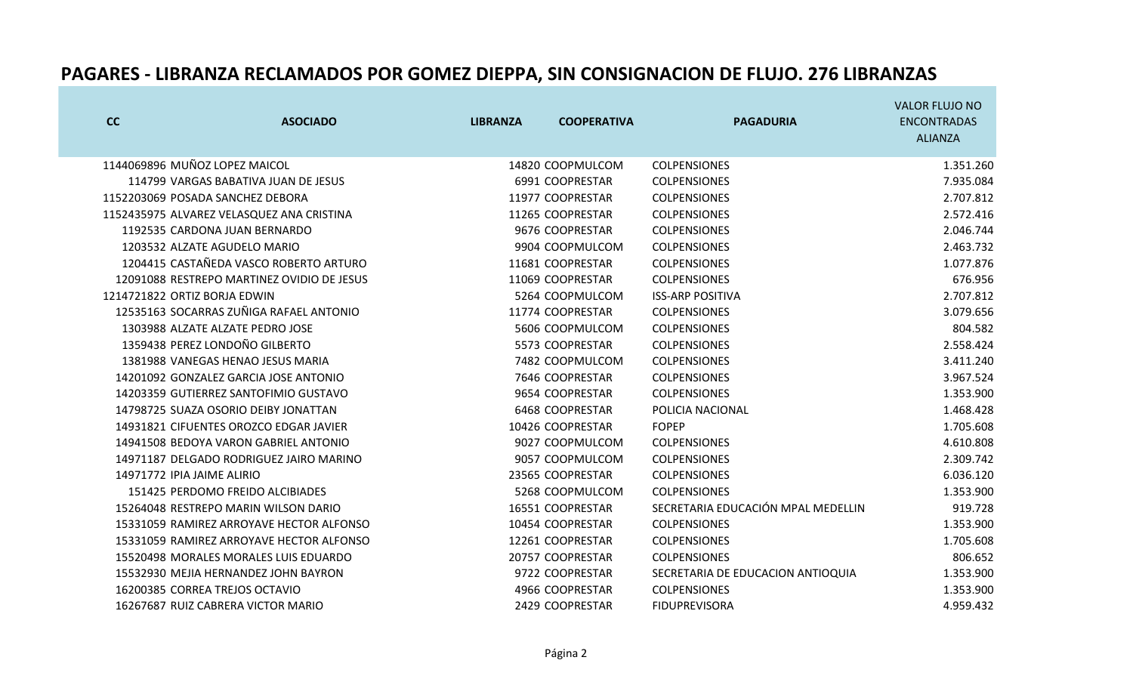| cc                           | <b>ASOCIADO</b>                            | <b>LIBRANZA</b> | <b>COOPERATIVA</b> | <b>PAGADURIA</b>                   | <b>VALOR FLUJO NO</b><br><b>ENCONTRADAS</b> |
|------------------------------|--------------------------------------------|-----------------|--------------------|------------------------------------|---------------------------------------------|
|                              |                                            |                 |                    |                                    | <b>ALIANZA</b>                              |
|                              | 1144069896 MUÑOZ LOPEZ MAICOL              |                 | 14820 COOPMULCOM   | <b>COLPENSIONES</b>                | 1.351.260                                   |
|                              | 114799 VARGAS BABATIVA JUAN DE JESUS       |                 | 6991 COOPRESTAR    | <b>COLPENSIONES</b>                | 7.935.084                                   |
|                              | 1152203069 POSADA SANCHEZ DEBORA           |                 | 11977 COOPRESTAR   | <b>COLPENSIONES</b>                | 2.707.812                                   |
|                              | 1152435975 ALVAREZ VELASQUEZ ANA CRISTINA  |                 | 11265 COOPRESTAR   | <b>COLPENSIONES</b>                | 2.572.416                                   |
|                              | 1192535 CARDONA JUAN BERNARDO              |                 | 9676 COOPRESTAR    | <b>COLPENSIONES</b>                | 2.046.744                                   |
|                              | 1203532 ALZATE AGUDELO MARIO               |                 | 9904 COOPMULCOM    | <b>COLPENSIONES</b>                | 2.463.732                                   |
|                              | 1204415 CASTAÑEDA VASCO ROBERTO ARTURO     |                 | 11681 COOPRESTAR   | <b>COLPENSIONES</b>                | 1.077.876                                   |
|                              | 12091088 RESTREPO MARTINEZ OVIDIO DE JESUS |                 | 11069 COOPRESTAR   | <b>COLPENSIONES</b>                | 676.956                                     |
| 1214721822 ORTIZ BORJA EDWIN |                                            |                 | 5264 COOPMULCOM    | <b>ISS-ARP POSITIVA</b>            | 2.707.812                                   |
|                              | 12535163 SOCARRAS ZUÑIGA RAFAEL ANTONIO    |                 | 11774 COOPRESTAR   | <b>COLPENSIONES</b>                | 3.079.656                                   |
|                              | 1303988 ALZATE ALZATE PEDRO JOSE           |                 | 5606 COOPMULCOM    | <b>COLPENSIONES</b>                | 804.582                                     |
|                              | 1359438 PEREZ LONDOÑO GILBERTO             |                 | 5573 COOPRESTAR    | <b>COLPENSIONES</b>                | 2.558.424                                   |
|                              | 1381988 VANEGAS HENAO JESUS MARIA          |                 | 7482 COOPMULCOM    | <b>COLPENSIONES</b>                | 3.411.240                                   |
|                              | 14201092 GONZALEZ GARCIA JOSE ANTONIO      |                 | 7646 COOPRESTAR    | <b>COLPENSIONES</b>                | 3.967.524                                   |
|                              | 14203359 GUTIERREZ SANTOFIMIO GUSTAVO      |                 | 9654 COOPRESTAR    | <b>COLPENSIONES</b>                | 1.353.900                                   |
|                              | 14798725 SUAZA OSORIO DEIBY JONATTAN       |                 | 6468 COOPRESTAR    | POLICIA NACIONAL                   | 1.468.428                                   |
|                              | 14931821 CIFUENTES OROZCO EDGAR JAVIER     |                 | 10426 COOPRESTAR   | <b>FOPEP</b>                       | 1.705.608                                   |
|                              | 14941508 BEDOYA VARON GABRIEL ANTONIO      |                 | 9027 COOPMULCOM    | <b>COLPENSIONES</b>                | 4.610.808                                   |
|                              | 14971187 DELGADO RODRIGUEZ JAIRO MARINO    |                 | 9057 COOPMULCOM    | <b>COLPENSIONES</b>                | 2.309.742                                   |
| 14971772 IPIA JAIME ALIRIO   |                                            |                 | 23565 COOPRESTAR   | <b>COLPENSIONES</b>                | 6.036.120                                   |
|                              | 151425 PERDOMO FREIDO ALCIBIADES           |                 | 5268 COOPMULCOM    | <b>COLPENSIONES</b>                | 1.353.900                                   |
|                              | 15264048 RESTREPO MARIN WILSON DARIO       |                 | 16551 COOPRESTAR   | SECRETARIA EDUCACIÓN MPAL MEDELLIN | 919.728                                     |
|                              | 15331059 RAMIREZ ARROYAVE HECTOR ALFONSO   |                 | 10454 COOPRESTAR   | <b>COLPENSIONES</b>                | 1.353.900                                   |
|                              | 15331059 RAMIREZ ARROYAVE HECTOR ALFONSO   |                 | 12261 COOPRESTAR   | <b>COLPENSIONES</b>                | 1.705.608                                   |
|                              | 15520498 MORALES MORALES LUIS EDUARDO      |                 | 20757 COOPRESTAR   | <b>COLPENSIONES</b>                | 806.652                                     |
|                              | 15532930 MEJIA HERNANDEZ JOHN BAYRON       |                 | 9722 COOPRESTAR    | SECRETARIA DE EDUCACION ANTIOQUIA  | 1.353.900                                   |
|                              | 16200385 CORREA TREJOS OCTAVIO             |                 | 4966 COOPRESTAR    | <b>COLPENSIONES</b>                | 1.353.900                                   |
|                              | 16267687 RUIZ CABRERA VICTOR MARIO         |                 | 2429 COOPRESTAR    | <b>FIDUPREVISORA</b>               | 4.959.432                                   |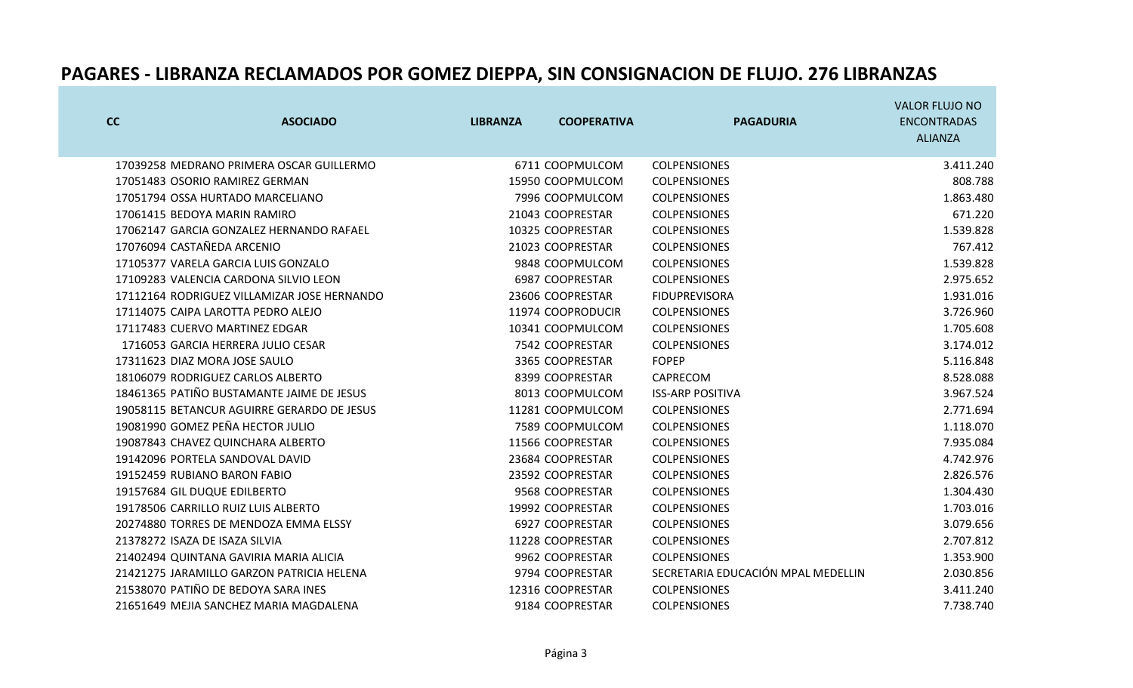| cc | <b>ASOCIADO</b>                             | <b>LIBRANZA</b> | <b>COOPERATIVA</b> | <b>PAGADURIA</b>                   | <b>VALOR FLUJO NO</b><br><b>ENCONTRADAS</b><br><b>ALIANZA</b> |
|----|---------------------------------------------|-----------------|--------------------|------------------------------------|---------------------------------------------------------------|
|    | 17039258 MEDRANO PRIMERA OSCAR GUILLERMO    |                 | 6711 COOPMULCOM    | <b>COLPENSIONES</b>                | 3.411.240                                                     |
|    | 17051483 OSORIO RAMIREZ GERMAN              |                 | 15950 COOPMULCOM   | <b>COLPENSIONES</b>                | 808.788                                                       |
|    | 17051794 OSSA HURTADO MARCELIANO            |                 | 7996 COOPMULCOM    | <b>COLPENSIONES</b>                | 1.863.480                                                     |
|    | 17061415 BEDOYA MARIN RAMIRO                |                 | 21043 COOPRESTAR   | <b>COLPENSIONES</b>                | 671.220                                                       |
|    | 17062147 GARCIA GONZALEZ HERNANDO RAFAEL    |                 | 10325 COOPRESTAR   | <b>COLPENSIONES</b>                | 1.539.828                                                     |
|    | 17076094 CASTAÑEDA ARCENIO                  |                 | 21023 COOPRESTAR   | <b>COLPENSIONES</b>                | 767.412                                                       |
|    | 17105377 VARELA GARCIA LUIS GONZALO         |                 | 9848 COOPMULCOM    | <b>COLPENSIONES</b>                | 1.539.828                                                     |
|    | 17109283 VALENCIA CARDONA SILVIO LEON       |                 | 6987 COOPRESTAR    | <b>COLPENSIONES</b>                | 2.975.652                                                     |
|    | 17112164 RODRIGUEZ VILLAMIZAR JOSE HERNANDO |                 | 23606 COOPRESTAR   | <b>FIDUPREVISORA</b>               | 1.931.016                                                     |
|    | 17114075 CAIPA LAROTTA PEDRO ALEJO          |                 | 11974 COOPRODUCIR  | <b>COLPENSIONES</b>                | 3.726.960                                                     |
|    | 17117483 CUERVO MARTINEZ EDGAR              |                 | 10341 COOPMULCOM   | <b>COLPENSIONES</b>                | 1.705.608                                                     |
|    | 1716053 GARCIA HERRERA JULIO CESAR          |                 | 7542 COOPRESTAR    | <b>COLPENSIONES</b>                | 3.174.012                                                     |
|    | 17311623 DIAZ MORA JOSE SAULO               |                 | 3365 COOPRESTAR    | <b>FOPEP</b>                       | 5.116.848                                                     |
|    | 18106079 RODRIGUEZ CARLOS ALBERTO           |                 | 8399 COOPRESTAR    | CAPRECOM                           | 8.528.088                                                     |
|    | 18461365 PATIÑO BUSTAMANTE JAIME DE JESUS   |                 | 8013 COOPMULCOM    | <b>ISS-ARP POSITIVA</b>            | 3.967.524                                                     |
|    | 19058115 BETANCUR AGUIRRE GERARDO DE JESUS  |                 | 11281 COOPMULCOM   | <b>COLPENSIONES</b>                | 2.771.694                                                     |
|    | 19081990 GOMEZ PEÑA HECTOR JULIO            |                 | 7589 COOPMULCOM    | <b>COLPENSIONES</b>                | 1.118.070                                                     |
|    | 19087843 CHAVEZ QUINCHARA ALBERTO           |                 | 11566 COOPRESTAR   | <b>COLPENSIONES</b>                | 7.935.084                                                     |
|    | 19142096 PORTELA SANDOVAL DAVID             |                 | 23684 COOPRESTAR   | <b>COLPENSIONES</b>                | 4.742.976                                                     |
|    | 19152459 RUBIANO BARON FABIO                |                 | 23592 COOPRESTAR   | <b>COLPENSIONES</b>                | 2.826.576                                                     |
|    | 19157684 GIL DUQUE EDILBERTO                |                 | 9568 COOPRESTAR    | <b>COLPENSIONES</b>                | 1.304.430                                                     |
|    | 19178506 CARRILLO RUIZ LUIS ALBERTO         |                 | 19992 COOPRESTAR   | <b>COLPENSIONES</b>                | 1.703.016                                                     |
|    | 20274880 TORRES DE MENDOZA EMMA ELSSY       |                 | 6927 COOPRESTAR    | <b>COLPENSIONES</b>                | 3.079.656                                                     |
|    | 21378272 ISAZA DE ISAZA SILVIA              |                 | 11228 COOPRESTAR   | <b>COLPENSIONES</b>                | 2.707.812                                                     |
|    | 21402494 QUINTANA GAVIRIA MARIA ALICIA      |                 | 9962 COOPRESTAR    | <b>COLPENSIONES</b>                | 1.353.900                                                     |
|    | 21421275 JARAMILLO GARZON PATRICIA HELENA   |                 | 9794 COOPRESTAR    | SECRETARIA EDUCACIÓN MPAL MEDELLIN | 2.030.856                                                     |
|    | 21538070 PATIÑO DE BEDOYA SARA INES         |                 | 12316 COOPRESTAR   | <b>COLPENSIONES</b>                | 3.411.240                                                     |
|    | 21651649 MEJIA SANCHEZ MARIA MAGDALENA      |                 | 9184 COOPRESTAR    | <b>COLPENSIONES</b>                | 7.738.740                                                     |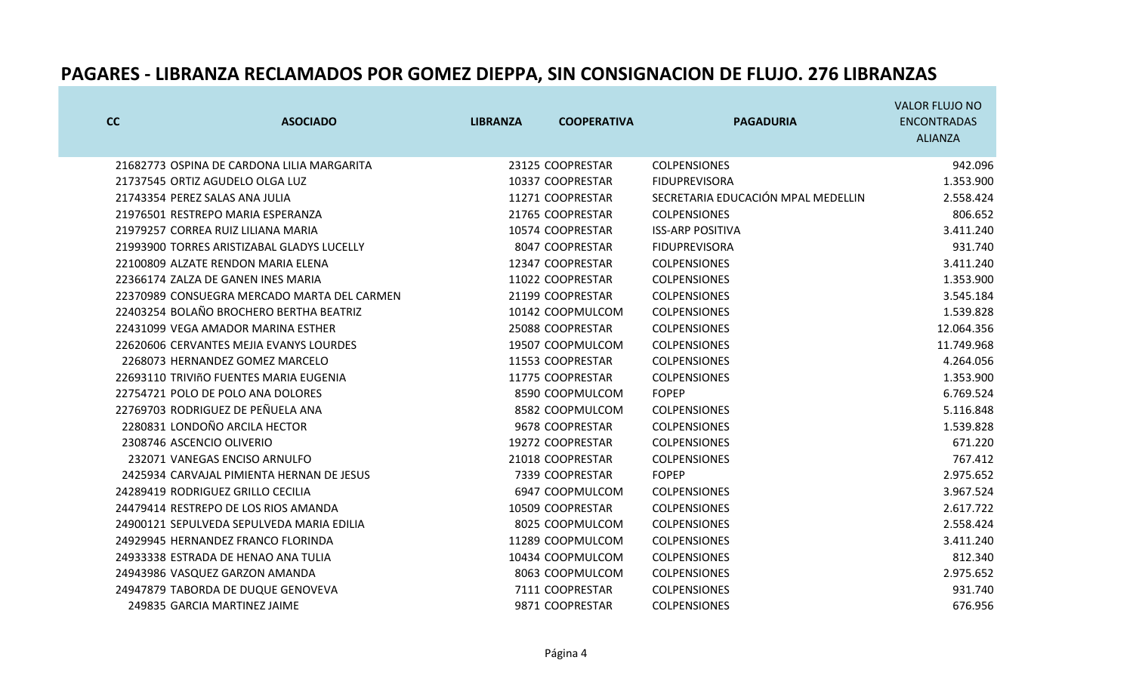| cc | <b>ASOCIADO</b>                             | <b>LIBRANZA</b> | <b>COOPERATIVA</b> | <b>PAGADURIA</b>                   | <b>VALOR FLUJO NO</b><br><b>ENCONTRADAS</b> |
|----|---------------------------------------------|-----------------|--------------------|------------------------------------|---------------------------------------------|
|    |                                             |                 |                    |                                    | <b>ALIANZA</b>                              |
|    | 21682773 OSPINA DE CARDONA LILIA MARGARITA  |                 | 23125 COOPRESTAR   | <b>COLPENSIONES</b>                | 942.096                                     |
|    | 21737545 ORTIZ AGUDELO OLGA LUZ             |                 | 10337 COOPRESTAR   | <b>FIDUPREVISORA</b>               | 1.353.900                                   |
|    | 21743354 PEREZ SALAS ANA JULIA              |                 | 11271 COOPRESTAR   | SECRETARIA EDUCACIÓN MPAL MEDELLIN | 2.558.424                                   |
|    | 21976501 RESTREPO MARIA ESPERANZA           |                 | 21765 COOPRESTAR   | <b>COLPENSIONES</b>                | 806.652                                     |
|    | 21979257 CORREA RUIZ LILIANA MARIA          |                 | 10574 COOPRESTAR   | <b>ISS-ARP POSITIVA</b>            | 3.411.240                                   |
|    | 21993900 TORRES ARISTIZABAL GLADYS LUCELLY  |                 | 8047 COOPRESTAR    | <b>FIDUPREVISORA</b>               | 931.740                                     |
|    | 22100809 ALZATE RENDON MARIA ELENA          |                 | 12347 COOPRESTAR   | <b>COLPENSIONES</b>                | 3.411.240                                   |
|    | 22366174 ZALZA DE GANEN INES MARIA          |                 | 11022 COOPRESTAR   | <b>COLPENSIONES</b>                | 1.353.900                                   |
|    | 22370989 CONSUEGRA MERCADO MARTA DEL CARMEN |                 | 21199 COOPRESTAR   | <b>COLPENSIONES</b>                | 3.545.184                                   |
|    | 22403254 BOLAÑO BROCHERO BERTHA BEATRIZ     |                 | 10142 COOPMULCOM   | <b>COLPENSIONES</b>                | 1.539.828                                   |
|    | 22431099 VEGA AMADOR MARINA ESTHER          |                 | 25088 COOPRESTAR   | <b>COLPENSIONES</b>                | 12.064.356                                  |
|    | 22620606 CERVANTES MEJIA EVANYS LOURDES     |                 | 19507 COOPMULCOM   | <b>COLPENSIONES</b>                | 11.749.968                                  |
|    | 2268073 HERNANDEZ GOMEZ MARCELO             |                 | 11553 COOPRESTAR   | <b>COLPENSIONES</b>                | 4.264.056                                   |
|    | 22693110 TRIVIñO FUENTES MARIA EUGENIA      |                 | 11775 COOPRESTAR   | <b>COLPENSIONES</b>                | 1.353.900                                   |
|    | 22754721 POLO DE POLO ANA DOLORES           |                 | 8590 COOPMULCOM    | <b>FOPEP</b>                       | 6.769.524                                   |
|    | 22769703 RODRIGUEZ DE PEÑUELA ANA           |                 | 8582 COOPMULCOM    | <b>COLPENSIONES</b>                | 5.116.848                                   |
|    | 2280831 LONDOÑO ARCILA HECTOR               |                 | 9678 COOPRESTAR    | <b>COLPENSIONES</b>                | 1.539.828                                   |
|    | 2308746 ASCENCIO OLIVERIO                   |                 | 19272 COOPRESTAR   | <b>COLPENSIONES</b>                | 671.220                                     |
|    | 232071 VANEGAS ENCISO ARNULFO               |                 | 21018 COOPRESTAR   | <b>COLPENSIONES</b>                | 767.412                                     |
|    | 2425934 CARVAJAL PIMIENTA HERNAN DE JESUS   |                 | 7339 COOPRESTAR    | <b>FOPEP</b>                       | 2.975.652                                   |
|    | 24289419 RODRIGUEZ GRILLO CECILIA           |                 | 6947 COOPMULCOM    | <b>COLPENSIONES</b>                | 3.967.524                                   |
|    | 24479414 RESTREPO DE LOS RIOS AMANDA        |                 | 10509 COOPRESTAR   | <b>COLPENSIONES</b>                | 2.617.722                                   |
|    | 24900121 SEPULVEDA SEPULVEDA MARIA EDILIA   |                 | 8025 COOPMULCOM    | <b>COLPENSIONES</b>                | 2.558.424                                   |
|    | 24929945 HERNANDEZ FRANCO FLORINDA          |                 | 11289 COOPMULCOM   | <b>COLPENSIONES</b>                | 3.411.240                                   |
|    | 24933338 ESTRADA DE HENAO ANA TULIA         |                 | 10434 COOPMULCOM   | <b>COLPENSIONES</b>                | 812.340                                     |
|    | 24943986 VASQUEZ GARZON AMANDA              |                 | 8063 COOPMULCOM    | <b>COLPENSIONES</b>                | 2.975.652                                   |
|    | 24947879 TABORDA DE DUQUE GENOVEVA          |                 | 7111 COOPRESTAR    | <b>COLPENSIONES</b>                | 931.740                                     |
|    | 249835 GARCIA MARTINEZ JAIME                |                 | 9871 COOPRESTAR    | <b>COLPENSIONES</b>                | 676.956                                     |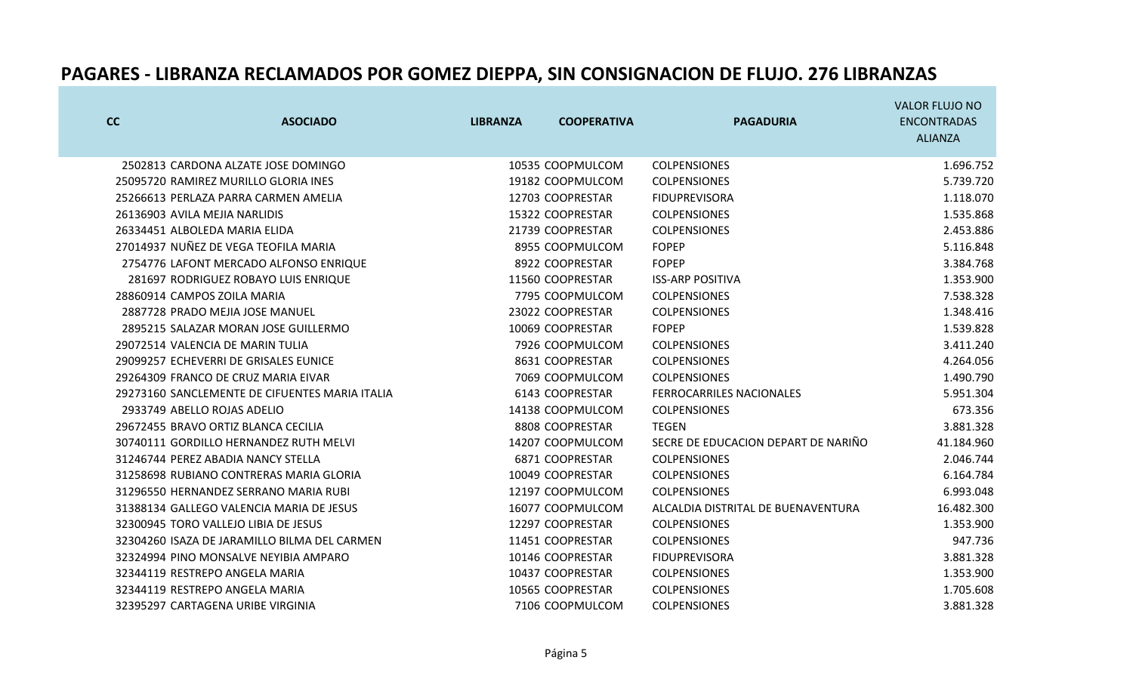| cc | <b>ASOCIADO</b>                                | <b>LIBRANZA</b> | <b>COOPERATIVA</b> | <b>PAGADURIA</b>                    | <b>VALOR FLUJO NO</b><br><b>ENCONTRADAS</b><br><b>ALIANZA</b> |
|----|------------------------------------------------|-----------------|--------------------|-------------------------------------|---------------------------------------------------------------|
|    | 2502813 CARDONA ALZATE JOSE DOMINGO            |                 | 10535 COOPMULCOM   | <b>COLPENSIONES</b>                 | 1.696.752                                                     |
|    | 25095720 RAMIREZ MURILLO GLORIA INES           |                 | 19182 COOPMULCOM   | <b>COLPENSIONES</b>                 | 5.739.720                                                     |
|    | 25266613 PERLAZA PARRA CARMEN AMELIA           |                 | 12703 COOPRESTAR   | <b>FIDUPREVISORA</b>                | 1.118.070                                                     |
|    | 26136903 AVILA MEJIA NARLIDIS                  |                 | 15322 COOPRESTAR   | <b>COLPENSIONES</b>                 | 1.535.868                                                     |
|    | 26334451 ALBOLEDA MARIA ELIDA                  |                 | 21739 COOPRESTAR   | <b>COLPENSIONES</b>                 | 2.453.886                                                     |
|    | 27014937 NUÑEZ DE VEGA TEOFILA MARIA           |                 | 8955 COOPMULCOM    | <b>FOPEP</b>                        | 5.116.848                                                     |
|    | 2754776 LAFONT MERCADO ALFONSO ENRIQUE         |                 | 8922 COOPRESTAR    | <b>FOPEP</b>                        | 3.384.768                                                     |
|    | 281697 RODRIGUEZ ROBAYO LUIS ENRIQUE           |                 | 11560 COOPRESTAR   | <b>ISS-ARP POSITIVA</b>             | 1.353.900                                                     |
|    | 28860914 CAMPOS ZOILA MARIA                    |                 | 7795 COOPMULCOM    | <b>COLPENSIONES</b>                 | 7.538.328                                                     |
|    | 2887728 PRADO MEJIA JOSE MANUEL                |                 | 23022 COOPRESTAR   | <b>COLPENSIONES</b>                 | 1.348.416                                                     |
|    | 2895215 SALAZAR MORAN JOSE GUILLERMO           |                 | 10069 COOPRESTAR   | <b>FOPEP</b>                        | 1.539.828                                                     |
|    | 29072514 VALENCIA DE MARIN TULIA               |                 | 7926 COOPMULCOM    | <b>COLPENSIONES</b>                 | 3.411.240                                                     |
|    | 29099257 ECHEVERRI DE GRISALES EUNICE          |                 | 8631 COOPRESTAR    | <b>COLPENSIONES</b>                 | 4.264.056                                                     |
|    | 29264309 FRANCO DE CRUZ MARIA EIVAR            |                 | 7069 COOPMULCOM    | <b>COLPENSIONES</b>                 | 1.490.790                                                     |
|    | 29273160 SANCLEMENTE DE CIFUENTES MARIA ITALIA |                 | 6143 COOPRESTAR    | <b>FERROCARRILES NACIONALES</b>     | 5.951.304                                                     |
|    | 2933749 ABELLO ROJAS ADELIO                    |                 | 14138 COOPMULCOM   | <b>COLPENSIONES</b>                 | 673.356                                                       |
|    | 29672455 BRAVO ORTIZ BLANCA CECILIA            |                 | 8808 COOPRESTAR    | <b>TEGEN</b>                        | 3.881.328                                                     |
|    | 30740111 GORDILLO HERNANDEZ RUTH MELVI         |                 | 14207 COOPMULCOM   | SECRE DE EDUCACION DEPART DE NARIÑO | 41.184.960                                                    |
|    | 31246744 PEREZ ABADIA NANCY STELLA             |                 | 6871 COOPRESTAR    | <b>COLPENSIONES</b>                 | 2.046.744                                                     |
|    | 31258698 RUBIANO CONTRERAS MARIA GLORIA        |                 | 10049 COOPRESTAR   | <b>COLPENSIONES</b>                 | 6.164.784                                                     |
|    | 31296550 HERNANDEZ SERRANO MARIA RUBI          |                 | 12197 COOPMULCOM   | <b>COLPENSIONES</b>                 | 6.993.048                                                     |
|    | 31388134 GALLEGO VALENCIA MARIA DE JESUS       |                 | 16077 COOPMULCOM   | ALCALDIA DISTRITAL DE BUENAVENTURA  | 16.482.300                                                    |
|    | 32300945 TORO VALLEJO LIBIA DE JESUS           |                 | 12297 COOPRESTAR   | <b>COLPENSIONES</b>                 | 1.353.900                                                     |
|    | 32304260 ISAZA DE JARAMILLO BILMA DEL CARMEN   |                 | 11451 COOPRESTAR   | <b>COLPENSIONES</b>                 | 947.736                                                       |
|    | 32324994 PINO MONSALVE NEYIBIA AMPARO          |                 | 10146 COOPRESTAR   | <b>FIDUPREVISORA</b>                | 3.881.328                                                     |
|    | 32344119 RESTREPO ANGELA MARIA                 |                 | 10437 COOPRESTAR   | <b>COLPENSIONES</b>                 | 1.353.900                                                     |
|    | 32344119 RESTREPO ANGELA MARIA                 |                 | 10565 COOPRESTAR   | <b>COLPENSIONES</b>                 | 1.705.608                                                     |
|    | 32395297 CARTAGENA URIBE VIRGINIA              |                 | 7106 COOPMULCOM    | <b>COLPENSIONES</b>                 | 3.881.328                                                     |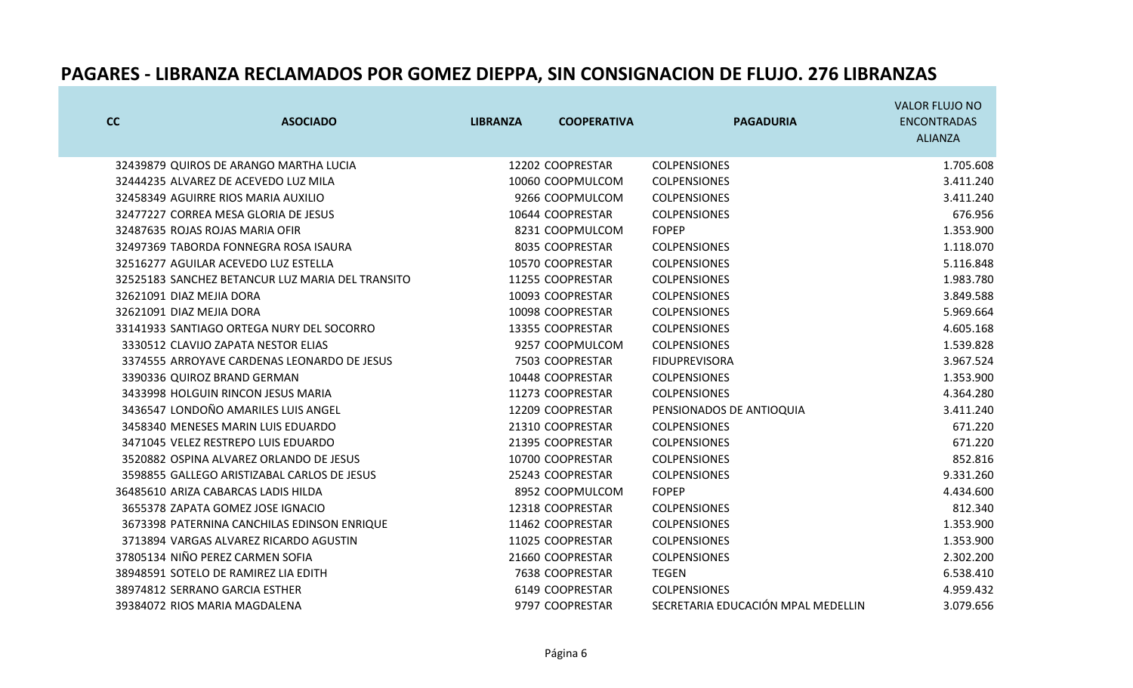| cc | <b>ASOCIADO</b>                                  | <b>LIBRANZA</b> | <b>COOPERATIVA</b> | <b>PAGADURIA</b>                   | <b>VALOR FLUJO NO</b><br><b>ENCONTRADAS</b> |
|----|--------------------------------------------------|-----------------|--------------------|------------------------------------|---------------------------------------------|
|    |                                                  |                 |                    |                                    | <b>ALIANZA</b>                              |
|    |                                                  |                 |                    |                                    |                                             |
|    | 32439879 QUIROS DE ARANGO MARTHA LUCIA           |                 | 12202 COOPRESTAR   | <b>COLPENSIONES</b>                | 1.705.608                                   |
|    | 32444235 ALVAREZ DE ACEVEDO LUZ MILA             |                 | 10060 COOPMULCOM   | <b>COLPENSIONES</b>                | 3.411.240                                   |
|    | 32458349 AGUIRRE RIOS MARIA AUXILIO              |                 | 9266 COOPMULCOM    | <b>COLPENSIONES</b>                | 3.411.240                                   |
|    | 32477227 CORREA MESA GLORIA DE JESUS             |                 | 10644 COOPRESTAR   | <b>COLPENSIONES</b>                | 676.956                                     |
|    | 32487635 ROJAS ROJAS MARIA OFIR                  |                 | 8231 COOPMULCOM    | <b>FOPEP</b>                       | 1.353.900                                   |
|    | 32497369 TABORDA FONNEGRA ROSA ISAURA            |                 | 8035 COOPRESTAR    | <b>COLPENSIONES</b>                | 1.118.070                                   |
|    | 32516277 AGUILAR ACEVEDO LUZ ESTELLA             |                 | 10570 COOPRESTAR   | <b>COLPENSIONES</b>                | 5.116.848                                   |
|    | 32525183 SANCHEZ BETANCUR LUZ MARIA DEL TRANSITO |                 | 11255 COOPRESTAR   | <b>COLPENSIONES</b>                | 1.983.780                                   |
|    | 32621091 DIAZ MEJIA DORA                         |                 | 10093 COOPRESTAR   | <b>COLPENSIONES</b>                | 3.849.588                                   |
|    | 32621091 DIAZ MEJIA DORA                         |                 | 10098 COOPRESTAR   | <b>COLPENSIONES</b>                | 5.969.664                                   |
|    | 33141933 SANTIAGO ORTEGA NURY DEL SOCORRO        |                 | 13355 COOPRESTAR   | <b>COLPENSIONES</b>                | 4.605.168                                   |
|    | 3330512 CLAVIJO ZAPATA NESTOR ELIAS              |                 | 9257 COOPMULCOM    | <b>COLPENSIONES</b>                | 1.539.828                                   |
|    | 3374555 ARROYAVE CARDENAS LEONARDO DE JESUS      |                 | 7503 COOPRESTAR    | <b>FIDUPREVISORA</b>               | 3.967.524                                   |
|    | 3390336 QUIROZ BRAND GERMAN                      |                 | 10448 COOPRESTAR   | <b>COLPENSIONES</b>                | 1.353.900                                   |
|    | 3433998 HOLGUIN RINCON JESUS MARIA               |                 | 11273 COOPRESTAR   | <b>COLPENSIONES</b>                | 4.364.280                                   |
|    | 3436547 LONDOÑO AMARILES LUIS ANGEL              |                 | 12209 COOPRESTAR   | PENSIONADOS DE ANTIOQUIA           | 3.411.240                                   |
|    | 3458340 MENESES MARIN LUIS EDUARDO               |                 | 21310 COOPRESTAR   | <b>COLPENSIONES</b>                | 671.220                                     |
|    | 3471045 VELEZ RESTREPO LUIS EDUARDO              |                 | 21395 COOPRESTAR   | <b>COLPENSIONES</b>                | 671.220                                     |
|    | 3520882 OSPINA ALVAREZ ORLANDO DE JESUS          |                 | 10700 COOPRESTAR   | <b>COLPENSIONES</b>                | 852.816                                     |
|    | 3598855 GALLEGO ARISTIZABAL CARLOS DE JESUS      |                 | 25243 COOPRESTAR   | <b>COLPENSIONES</b>                | 9.331.260                                   |
|    | 36485610 ARIZA CABARCAS LADIS HILDA              |                 | 8952 COOPMULCOM    | <b>FOPEP</b>                       | 4.434.600                                   |
|    | 3655378 ZAPATA GOMEZ JOSE IGNACIO                |                 | 12318 COOPRESTAR   | <b>COLPENSIONES</b>                | 812.340                                     |
|    | 3673398 PATERNINA CANCHILAS EDINSON ENRIQUE      |                 | 11462 COOPRESTAR   | <b>COLPENSIONES</b>                | 1.353.900                                   |
|    | 3713894 VARGAS ALVAREZ RICARDO AGUSTIN           |                 | 11025 COOPRESTAR   | <b>COLPENSIONES</b>                | 1.353.900                                   |
|    | 37805134 NIÑO PEREZ CARMEN SOFIA                 |                 | 21660 COOPRESTAR   | <b>COLPENSIONES</b>                | 2.302.200                                   |
|    | 38948591 SOTELO DE RAMIREZ LIA EDITH             |                 | 7638 COOPRESTAR    | <b>TEGEN</b>                       | 6.538.410                                   |
|    | 38974812 SERRANO GARCIA ESTHER                   |                 | 6149 COOPRESTAR    | <b>COLPENSIONES</b>                | 4.959.432                                   |
|    | 39384072 RIOS MARIA MAGDALENA                    |                 | 9797 COOPRESTAR    | SECRETARIA EDUCACIÓN MPAL MEDELLIN | 3.079.656                                   |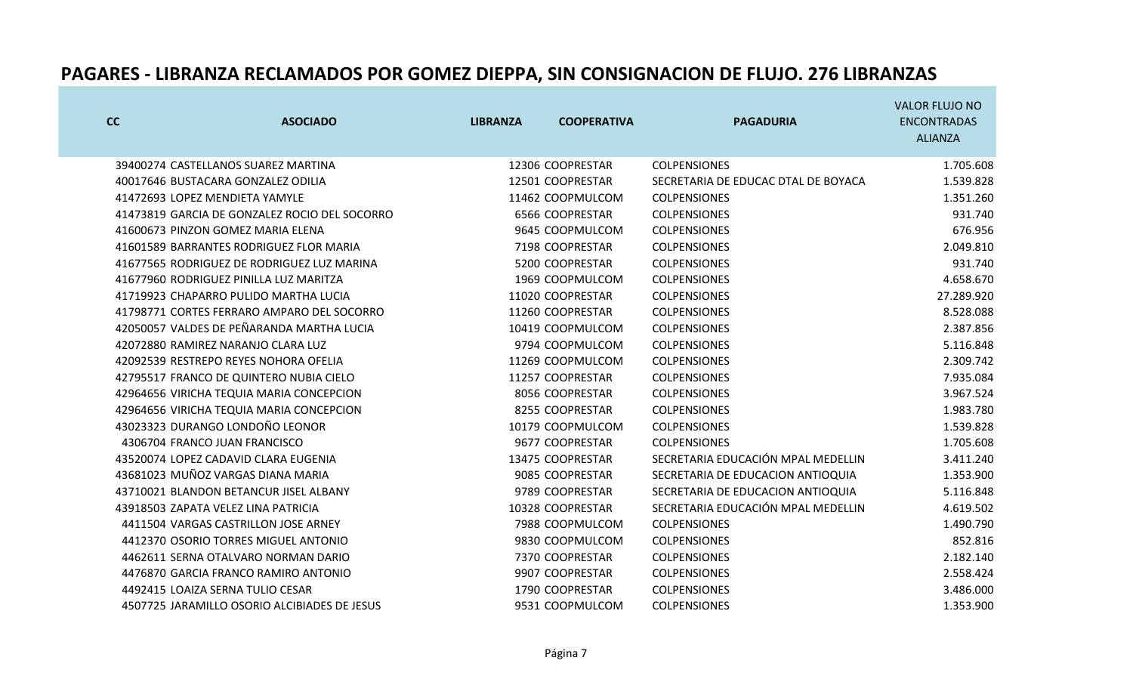| cc | <b>ASOCIADO</b>                               | <b>LIBRANZA</b> | <b>COOPERATIVA</b> | <b>PAGADURIA</b>                    | <b>VALOR FLUJO NO</b><br><b>ENCONTRADAS</b><br><b>ALIANZA</b> |
|----|-----------------------------------------------|-----------------|--------------------|-------------------------------------|---------------------------------------------------------------|
|    | 39400274 CASTELLANOS SUAREZ MARTINA           |                 | 12306 COOPRESTAR   | <b>COLPENSIONES</b>                 | 1.705.608                                                     |
|    | 40017646 BUSTACARA GONZALEZ ODILIA            |                 | 12501 COOPRESTAR   | SECRETARIA DE EDUCAC DTAL DE BOYACA | 1.539.828                                                     |
|    | 41472693 LOPEZ MENDIETA YAMYLE                |                 | 11462 COOPMULCOM   | <b>COLPENSIONES</b>                 | 1.351.260                                                     |
|    | 41473819 GARCIA DE GONZALEZ ROCIO DEL SOCORRO |                 | 6566 COOPRESTAR    | <b>COLPENSIONES</b>                 | 931.740                                                       |
|    | 41600673 PINZON GOMEZ MARIA ELENA             |                 | 9645 COOPMULCOM    | <b>COLPENSIONES</b>                 | 676.956                                                       |
|    | 41601589 BARRANTES RODRIGUEZ FLOR MARIA       |                 | 7198 COOPRESTAR    | <b>COLPENSIONES</b>                 | 2.049.810                                                     |
|    | 41677565 RODRIGUEZ DE RODRIGUEZ LUZ MARINA    |                 | 5200 COOPRESTAR    | <b>COLPENSIONES</b>                 | 931.740                                                       |
|    | 41677960 RODRIGUEZ PINILLA LUZ MARITZA        |                 | 1969 COOPMULCOM    | <b>COLPENSIONES</b>                 | 4.658.670                                                     |
|    | 41719923 CHAPARRO PULIDO MARTHA LUCIA         |                 | 11020 COOPRESTAR   | <b>COLPENSIONES</b>                 | 27.289.920                                                    |
|    | 41798771 CORTES FERRARO AMPARO DEL SOCORRO    |                 | 11260 COOPRESTAR   | <b>COLPENSIONES</b>                 | 8.528.088                                                     |
|    | 42050057 VALDES DE PEÑARANDA MARTHA LUCIA     |                 | 10419 COOPMULCOM   | <b>COLPENSIONES</b>                 | 2.387.856                                                     |
|    | 42072880 RAMIREZ NARANJO CLARA LUZ            |                 | 9794 COOPMULCOM    | <b>COLPENSIONES</b>                 | 5.116.848                                                     |
|    | 42092539 RESTREPO REYES NOHORA OFELIA         |                 | 11269 COOPMULCOM   | <b>COLPENSIONES</b>                 | 2.309.742                                                     |
|    | 42795517 FRANCO DE QUINTERO NUBIA CIELO       |                 | 11257 COOPRESTAR   | <b>COLPENSIONES</b>                 | 7.935.084                                                     |
|    | 42964656 VIRICHA TEQUIA MARIA CONCEPCION      |                 | 8056 COOPRESTAR    | <b>COLPENSIONES</b>                 | 3.967.524                                                     |
|    | 42964656 VIRICHA TEQUIA MARIA CONCEPCION      |                 | 8255 COOPRESTAR    | <b>COLPENSIONES</b>                 | 1.983.780                                                     |
|    | 43023323 DURANGO LONDOÑO LEONOR               |                 | 10179 COOPMULCOM   | <b>COLPENSIONES</b>                 | 1.539.828                                                     |
|    | 4306704 FRANCO JUAN FRANCISCO                 |                 | 9677 COOPRESTAR    | <b>COLPENSIONES</b>                 | 1.705.608                                                     |
|    | 43520074 LOPEZ CADAVID CLARA EUGENIA          |                 | 13475 COOPRESTAR   | SECRETARIA EDUCACIÓN MPAL MEDELLIN  | 3.411.240                                                     |
|    | 43681023 MUÑOZ VARGAS DIANA MARIA             |                 | 9085 COOPRESTAR    | SECRETARIA DE EDUCACION ANTIOQUIA   | 1.353.900                                                     |
|    | 43710021 BLANDON BETANCUR JISEL ALBANY        |                 | 9789 COOPRESTAR    | SECRETARIA DE EDUCACION ANTIOQUIA   | 5.116.848                                                     |
|    | 43918503 ZAPATA VELEZ LINA PATRICIA           |                 | 10328 COOPRESTAR   | SECRETARIA EDUCACIÓN MPAL MEDELLIN  | 4.619.502                                                     |
|    | 4411504 VARGAS CASTRILLON JOSE ARNEY          |                 | 7988 COOPMULCOM    | <b>COLPENSIONES</b>                 | 1.490.790                                                     |
|    | 4412370 OSORIO TORRES MIGUEL ANTONIO          |                 | 9830 COOPMULCOM    | <b>COLPENSIONES</b>                 | 852.816                                                       |
|    | 4462611 SERNA OTALVARO NORMAN DARIO           |                 | 7370 COOPRESTAR    | <b>COLPENSIONES</b>                 | 2.182.140                                                     |
|    | 4476870 GARCIA FRANCO RAMIRO ANTONIO          |                 | 9907 COOPRESTAR    | <b>COLPENSIONES</b>                 | 2.558.424                                                     |
|    | 4492415 LOAIZA SERNA TULIO CESAR              |                 | 1790 COOPRESTAR    | <b>COLPENSIONES</b>                 | 3.486.000                                                     |
|    | 4507725 JARAMILLO OSORIO ALCIBIADES DE JESUS  |                 | 9531 COOPMULCOM    | <b>COLPENSIONES</b>                 | 1.353.900                                                     |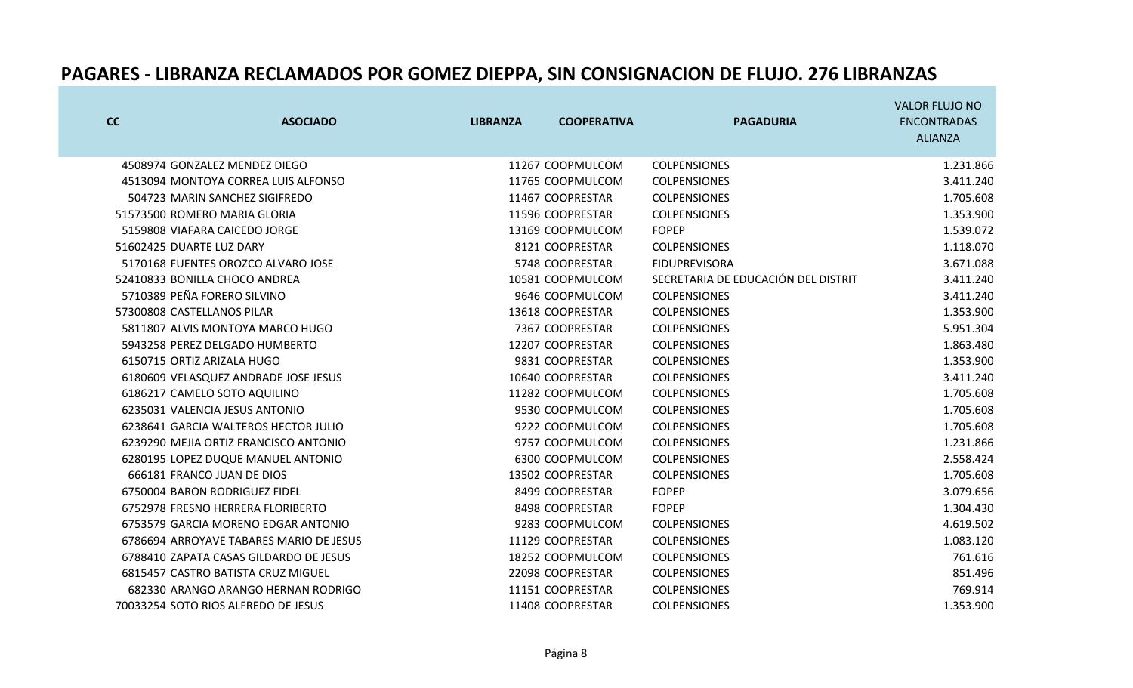|                          |                                         |                 |                    |                                     | <b>VALOR FLUJO NO</b> |
|--------------------------|-----------------------------------------|-----------------|--------------------|-------------------------------------|-----------------------|
| cc                       | <b>ASOCIADO</b>                         | <b>LIBRANZA</b> | <b>COOPERATIVA</b> | <b>PAGADURIA</b>                    | <b>ENCONTRADAS</b>    |
|                          |                                         |                 |                    |                                     | <b>ALIANZA</b>        |
|                          | 4508974 GONZALEZ MENDEZ DIEGO           |                 | 11267 COOPMULCOM   | <b>COLPENSIONES</b>                 | 1.231.866             |
|                          | 4513094 MONTOYA CORREA LUIS ALFONSO     |                 | 11765 COOPMULCOM   | <b>COLPENSIONES</b>                 | 3.411.240             |
|                          | 504723 MARIN SANCHEZ SIGIFREDO          |                 | 11467 COOPRESTAR   | <b>COLPENSIONES</b>                 | 1.705.608             |
|                          | 51573500 ROMERO MARIA GLORIA            |                 | 11596 COOPRESTAR   | <b>COLPENSIONES</b>                 | 1.353.900             |
|                          | 5159808 VIAFARA CAICEDO JORGE           |                 | 13169 COOPMULCOM   | <b>FOPEP</b>                        | 1.539.072             |
| 51602425 DUARTE LUZ DARY |                                         |                 | 8121 COOPRESTAR    | <b>COLPENSIONES</b>                 | 1.118.070             |
|                          | 5170168 FUENTES OROZCO ALVARO JOSE      |                 | 5748 COOPRESTAR    | <b>FIDUPREVISORA</b>                | 3.671.088             |
|                          | 52410833 BONILLA CHOCO ANDREA           |                 | 10581 COOPMULCOM   | SECRETARIA DE EDUCACIÓN DEL DISTRIT | 3.411.240             |
|                          | 5710389 PEÑA FORERO SILVINO             |                 | 9646 COOPMULCOM    | <b>COLPENSIONES</b>                 | 3.411.240             |
|                          | 57300808 CASTELLANOS PILAR              |                 | 13618 COOPRESTAR   | <b>COLPENSIONES</b>                 | 1.353.900             |
|                          | 5811807 ALVIS MONTOYA MARCO HUGO        |                 | 7367 COOPRESTAR    | <b>COLPENSIONES</b>                 | 5.951.304             |
|                          | 5943258 PEREZ DELGADO HUMBERTO          |                 | 12207 COOPRESTAR   | <b>COLPENSIONES</b>                 | 1.863.480             |
|                          | 6150715 ORTIZ ARIZALA HUGO              |                 | 9831 COOPRESTAR    | <b>COLPENSIONES</b>                 | 1.353.900             |
|                          | 6180609 VELASQUEZ ANDRADE JOSE JESUS    |                 | 10640 COOPRESTAR   | <b>COLPENSIONES</b>                 | 3.411.240             |
|                          | 6186217 CAMELO SOTO AQUILINO            |                 | 11282 COOPMULCOM   | <b>COLPENSIONES</b>                 | 1.705.608             |
|                          | 6235031 VALENCIA JESUS ANTONIO          |                 | 9530 COOPMULCOM    | <b>COLPENSIONES</b>                 | 1.705.608             |
|                          | 6238641 GARCIA WALTEROS HECTOR JULIO    |                 | 9222 COOPMULCOM    | <b>COLPENSIONES</b>                 | 1.705.608             |
|                          | 6239290 MEJIA ORTIZ FRANCISCO ANTONIO   |                 | 9757 COOPMULCOM    | <b>COLPENSIONES</b>                 | 1.231.866             |
|                          | 6280195 LOPEZ DUQUE MANUEL ANTONIO      |                 | 6300 COOPMULCOM    | <b>COLPENSIONES</b>                 | 2.558.424             |
|                          | 666181 FRANCO JUAN DE DIOS              |                 | 13502 COOPRESTAR   | <b>COLPENSIONES</b>                 | 1.705.608             |
|                          | 6750004 BARON RODRIGUEZ FIDEL           |                 | 8499 COOPRESTAR    | <b>FOPEP</b>                        | 3.079.656             |
|                          | 6752978 FRESNO HERRERA FLORIBERTO       |                 | 8498 COOPRESTAR    | <b>FOPEP</b>                        | 1.304.430             |
|                          | 6753579 GARCIA MORENO EDGAR ANTONIO     |                 | 9283 COOPMULCOM    | <b>COLPENSIONES</b>                 | 4.619.502             |
|                          | 6786694 ARROYAVE TABARES MARIO DE JESUS |                 | 11129 COOPRESTAR   | <b>COLPENSIONES</b>                 | 1.083.120             |
|                          | 6788410 ZAPATA CASAS GILDARDO DE JESUS  |                 | 18252 COOPMULCOM   | <b>COLPENSIONES</b>                 | 761.616               |
|                          | 6815457 CASTRO BATISTA CRUZ MIGUEL      |                 | 22098 COOPRESTAR   | <b>COLPENSIONES</b>                 | 851.496               |
|                          | 682330 ARANGO ARANGO HERNAN RODRIGO     |                 | 11151 COOPRESTAR   | <b>COLPENSIONES</b>                 | 769.914               |
|                          | 70033254 SOTO RIOS ALFREDO DE JESUS     |                 | 11408 COOPRESTAR   | <b>COLPENSIONES</b>                 | 1.353.900             |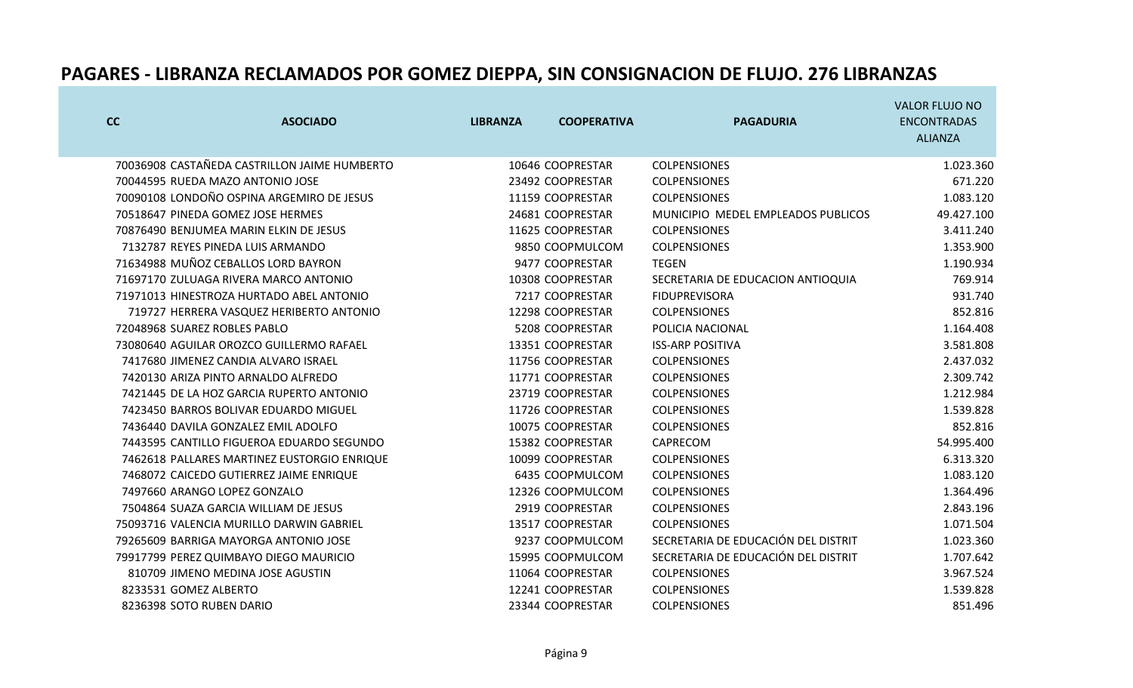|                       |                                              |                 |                    |                                     | <b>VALOR FLUJO NO</b> |
|-----------------------|----------------------------------------------|-----------------|--------------------|-------------------------------------|-----------------------|
| cc                    | <b>ASOCIADO</b>                              | <b>LIBRANZA</b> | <b>COOPERATIVA</b> | <b>PAGADURIA</b>                    | <b>ENCONTRADAS</b>    |
|                       |                                              |                 |                    |                                     | <b>ALIANZA</b>        |
|                       | 70036908 CASTAÑEDA CASTRILLON JAIME HUMBERTO |                 | 10646 COOPRESTAR   | <b>COLPENSIONES</b>                 | 1.023.360             |
|                       | 70044595 RUEDA MAZO ANTONIO JOSE             |                 | 23492 COOPRESTAR   | <b>COLPENSIONES</b>                 | 671.220               |
|                       | 70090108 LONDOÑO OSPINA ARGEMIRO DE JESUS    |                 | 11159 COOPRESTAR   | <b>COLPENSIONES</b>                 | 1.083.120             |
|                       | 70518647 PINEDA GOMEZ JOSE HERMES            |                 | 24681 COOPRESTAR   | MUNICIPIO MEDEL EMPLEADOS PUBLICOS  | 49.427.100            |
|                       | 70876490 BENJUMEA MARIN ELKIN DE JESUS       |                 | 11625 COOPRESTAR   | <b>COLPENSIONES</b>                 | 3.411.240             |
|                       | 7132787 REYES PINEDA LUIS ARMANDO            |                 | 9850 COOPMULCOM    | <b>COLPENSIONES</b>                 | 1.353.900             |
|                       | 71634988 MUÑOZ CEBALLOS LORD BAYRON          |                 | 9477 COOPRESTAR    | <b>TEGEN</b>                        | 1.190.934             |
|                       | 71697170 ZULUAGA RIVERA MARCO ANTONIO        |                 | 10308 COOPRESTAR   | SECRETARIA DE EDUCACION ANTIOQUIA   | 769.914               |
|                       | 71971013 HINESTROZA HURTADO ABEL ANTONIO     |                 | 7217 COOPRESTAR    | <b>FIDUPREVISORA</b>                | 931.740               |
|                       | 719727 HERRERA VASQUEZ HERIBERTO ANTONIO     |                 | 12298 COOPRESTAR   | <b>COLPENSIONES</b>                 | 852.816               |
|                       | 72048968 SUAREZ ROBLES PABLO                 |                 | 5208 COOPRESTAR    | POLICIA NACIONAL                    | 1.164.408             |
|                       | 73080640 AGUILAR OROZCO GUILLERMO RAFAEL     |                 | 13351 COOPRESTAR   | <b>ISS-ARP POSITIVA</b>             | 3.581.808             |
|                       | 7417680 JIMENEZ CANDIA ALVARO ISRAEL         |                 | 11756 COOPRESTAR   | <b>COLPENSIONES</b>                 | 2.437.032             |
|                       | 7420130 ARIZA PINTO ARNALDO ALFREDO          |                 | 11771 COOPRESTAR   | <b>COLPENSIONES</b>                 | 2.309.742             |
|                       | 7421445 DE LA HOZ GARCIA RUPERTO ANTONIO     |                 | 23719 COOPRESTAR   | <b>COLPENSIONES</b>                 | 1.212.984             |
|                       | 7423450 BARROS BOLIVAR EDUARDO MIGUEL        |                 | 11726 COOPRESTAR   | <b>COLPENSIONES</b>                 | 1.539.828             |
|                       | 7436440 DAVILA GONZALEZ EMIL ADOLFO          |                 | 10075 COOPRESTAR   | <b>COLPENSIONES</b>                 | 852.816               |
|                       | 7443595 CANTILLO FIGUEROA EDUARDO SEGUNDO    |                 | 15382 COOPRESTAR   | CAPRECOM                            | 54.995.400            |
|                       | 7462618 PALLARES MARTINEZ EUSTORGIO ENRIQUE  |                 | 10099 COOPRESTAR   | <b>COLPENSIONES</b>                 | 6.313.320             |
|                       | 7468072 CAICEDO GUTIERREZ JAIME ENRIQUE      |                 | 6435 COOPMULCOM    | <b>COLPENSIONES</b>                 | 1.083.120             |
|                       | 7497660 ARANGO LOPEZ GONZALO                 |                 | 12326 COOPMULCOM   | <b>COLPENSIONES</b>                 | 1.364.496             |
|                       | 7504864 SUAZA GARCIA WILLIAM DE JESUS        |                 | 2919 COOPRESTAR    | <b>COLPENSIONES</b>                 | 2.843.196             |
|                       | 75093716 VALENCIA MURILLO DARWIN GABRIEL     |                 | 13517 COOPRESTAR   | <b>COLPENSIONES</b>                 | 1.071.504             |
|                       | 79265609 BARRIGA MAYORGA ANTONIO JOSE        |                 | 9237 COOPMULCOM    | SECRETARIA DE EDUCACIÓN DEL DISTRIT | 1.023.360             |
|                       | 79917799 PEREZ QUIMBAYO DIEGO MAURICIO       |                 | 15995 COOPMULCOM   | SECRETARIA DE EDUCACIÓN DEL DISTRIT | 1.707.642             |
|                       | 810709 JIMENO MEDINA JOSE AGUSTIN            |                 | 11064 COOPRESTAR   | <b>COLPENSIONES</b>                 | 3.967.524             |
| 8233531 GOMEZ ALBERTO |                                              |                 | 12241 COOPRESTAR   | <b>COLPENSIONES</b>                 | 1.539.828             |
|                       | 8236398 SOTO RUBEN DARIO                     |                 | 23344 COOPRESTAR   | <b>COLPENSIONES</b>                 | 851.496               |